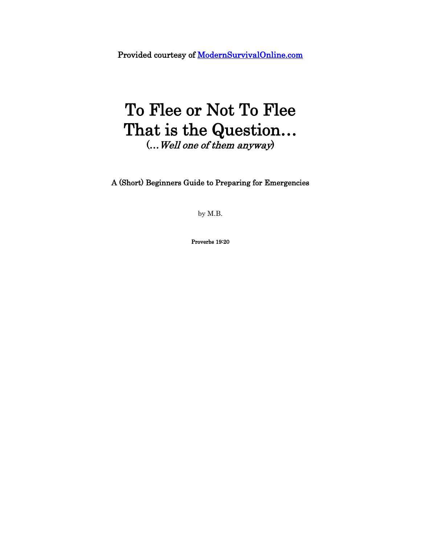Provided courtesy of [ModernSurvivalOnline.com](http://modernsurvivalonline.com/) 

# To Flee or Not To Flee That is the Question… (…Well one of them anyway)

A (Short) Beginners Guide to Preparing for Emergencies

by M.B.

Proverbs 19:20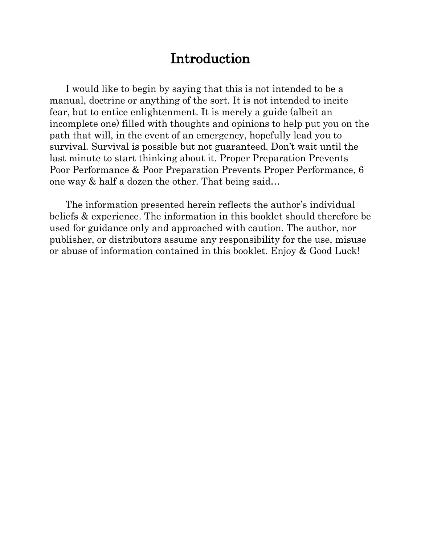# Introduction

 I would like to begin by saying that this is not intended to be a manual, doctrine or anything of the sort. It is not intended to incite fear, but to entice enlightenment. It is merely a guide (albeit an incomplete one) filled with thoughts and opinions to help put you on the path that will, in the event of an emergency, hopefully lead you to survival. Survival is possible but not guaranteed. Don't wait until the last minute to start thinking about it. Proper Preparation Prevents Poor Performance & Poor Preparation Prevents Proper Performance, 6 one way & half a dozen the other. That being said…

 The information presented herein reflects the author's individual beliefs & experience. The information in this booklet should therefore be used for guidance only and approached with caution. The author, nor publisher, or distributors assume any responsibility for the use, misuse or abuse of information contained in this booklet. Enjoy & Good Luck!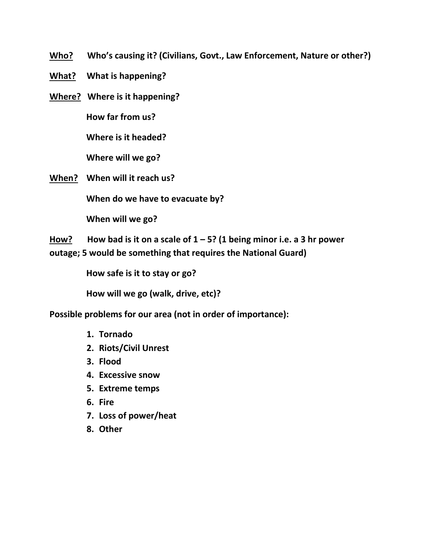**Who? Who's causing it? (Civilians, Govt., Law Enforcement, Nature or other?)**

- **What? What is happening?**
- **Where? Where is it happening?**

 **How far from us?**

 **Where is it headed?**

 **Where will we go?**

**When? When will it reach us?** 

 **When do we have to evacuate by?**

 **When will we go?**

**How? How bad is it on a scale of 1 – 5? (1 being minor i.e. a 3 hr power outage; 5 would be something that requires the National Guard)**

 **How safe is it to stay or go?**

 **How will we go (walk, drive, etc)?**

**Possible problems for our area (not in order of importance):** 

- **1. Tornado**
- **2. Riots/Civil Unrest**
- **3. Flood**
- **4. Excessive snow**
- **5. Extreme temps**
- **6. Fire**
- **7. Loss of power/heat**
- **8. Other**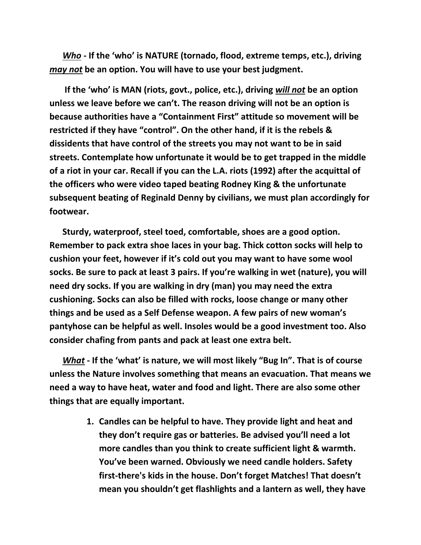*Who* **- If the 'who' is NATURE (tornado, flood, extreme temps, etc.), driving**  *may not* **be an option. You will have to use your best judgment.**

 **If the 'who' is MAN (riots, govt., police, etc.), driving** *will not* **be an option unless we leave before we can't. The reason driving will not be an option is because authorities have a "Containment First" attitude so movement will be restricted if they have "control". On the other hand, if it is the rebels & dissidents that have control of the streets you may not want to be in said streets. Contemplate how unfortunate it would be to get trapped in the middle of a riot in your car. Recall if you can the L.A. riots (1992) after the acquittal of the officers who were video taped beating Rodney King & the unfortunate subsequent beating of Reginald Denny by civilians, we must plan accordingly for footwear.** 

 **Sturdy, waterproof, steel toed, comfortable, shoes are a good option. Remember to pack extra shoe laces in your bag. Thick cotton socks will help to cushion your feet, however if it's cold out you may want to have some wool socks. Be sure to pack at least 3 pairs. If you're walking in wet (nature), you will need dry socks. If you are walking in dry (man) you may need the extra cushioning. Socks can also be filled with rocks, loose change or many other things and be used as a Self Defense weapon. A few pairs of new woman's pantyhose can be helpful as well. Insoles would be a good investment too. Also consider chafing from pants and pack at least one extra belt.** 

 *What* **- If the 'what' is nature, we will most likely "Bug In". That is of course unless the Nature involves something that means an evacuation. That means we need a way to have heat, water and food and light. There are also some other things that are equally important.**

> **1. Candles can be helpful to have. They provide light and heat and they don't require gas or batteries. Be advised you'll need a lot more candles than you think to create sufficient light & warmth. You've been warned. Obviously we need candle holders. Safety first-there's kids in the house. Don't forget Matches! That doesn't mean you shouldn't get flashlights and a lantern as well, they have**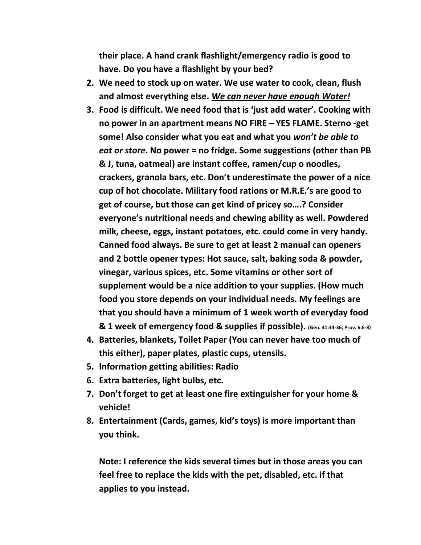**their place. A hand crank flashlight/emergency radio is good to have. Do you have a flashlight by your bed?**

- **2. We need to stock up on water. We use water to cook, clean, flush and almost everything else.** *We can never have enough Water!*
- **3. Food is difficult. We need food that is 'just add water'. Cooking with no power in an apartment means NO FIRE – YES FLAME. Sterno -get some! Also consider what you eat and what you** *won't be able to eat or store***. No power = no fridge. Some suggestions (other than PB & J, tuna, oatmeal) are instant coffee, ramen/cup o noodles, crackers, granola bars, etc. Don't underestimate the power of a nice cup of hot chocolate. Military food rations or M.R.E.'s are good to get of course, but those can get kind of pricey so….? Consider everyone's nutritional needs and chewing ability as well. Powdered milk, cheese, eggs, instant potatoes, etc. could come in very handy. Canned food always. Be sure to get at least 2 manual can openers and 2 bottle opener types: Hot sauce, salt, baking soda & powder, vinegar, various spices, etc. Some vitamins or other sort of supplement would be a nice addition to your supplies. (How much food you store depends on your individual needs. My feelings are that you should have a minimum of 1 week worth of everyday food & 1 week of emergency food & supplies if possible). (Gen. 41:34-36; Prov. 6:6-8)**
- **4. Batteries, blankets, Toilet Paper (You can never have too much of this either), paper plates, plastic cups, utensils.**
- **5. Information getting abilities: Radio**
- **6. Extra batteries, light bulbs, etc.**
- **7. Don't forget to get at least one fire extinguisher for your home & vehicle!**
- **8. Entertainment (Cards, games, kid's toys) is more important than you think.**

**Note: I reference the kids several times but in those areas you can feel free to replace the kids with the pet, disabled, etc. if that applies to you instead.**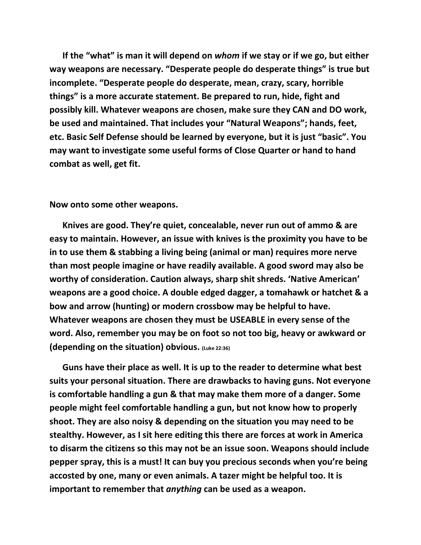**If the "what" is man it will depend on** *whom* **if we stay or if we go, but either way weapons are necessary. "Desperate people do desperate things" is true but incomplete. "Desperate people do desperate, mean, crazy, scary, horrible things" is a more accurate statement. Be prepared to run, hide, fight and possibly kill. Whatever weapons are chosen, make sure they CAN and DO work, be used and maintained. That includes your "Natural Weapons"; hands, feet, etc. Basic Self Defense should be learned by everyone, but it is just "basic". You may want to investigate some useful forms of Close Quarter or hand to hand combat as well, get fit.**

**Now onto some other weapons.**

 **Knives are good. They're quiet, concealable, never run out of ammo & are easy to maintain. However, an issue with knives is the proximity you have to be in to use them & stabbing a living being (animal or man) requires more nerve than most people imagine or have readily available. A good sword may also be worthy of consideration. Caution always, sharp shit shreds. 'Native American' weapons are a good choice. A double edged dagger, a tomahawk or hatchet & a bow and arrow (hunting) or modern crossbow may be helpful to have. Whatever weapons are chosen they must be USEABLE in every sense of the word. Also, remember you may be on foot so not too big, heavy or awkward or (depending on the situation) obvious. (Luke 22:36)**

 **Guns have their place as well. It is up to the reader to determine what best suits your personal situation. There are drawbacks to having guns. Not everyone is comfortable handling a gun & that may make them more of a danger. Some people might feel comfortable handling a gun, but not know how to properly shoot. They are also noisy & depending on the situation you may need to be stealthy. However, as I sit here editing this there are forces at work in America to disarm the citizens so this may not be an issue soon. Weapons should include pepper spray, this is a must! It can buy you precious seconds when you're being accosted by one, many or even animals. A tazer might be helpful too. It is important to remember that** *anything* **can be used as a weapon.**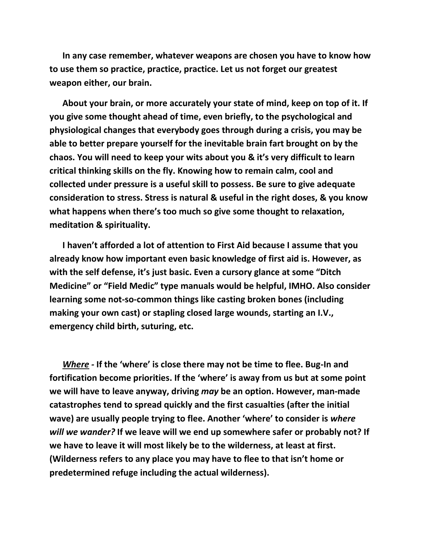**In any case remember, whatever weapons are chosen you have to know how to use them so practice, practice, practice. Let us not forget our greatest weapon either, our brain.**

 **About your brain, or more accurately your state of mind, keep on top of it. If you give some thought ahead of time, even briefly, to the psychological and physiological changes that everybody goes through during a crisis, you may be able to better prepare yourself for the inevitable brain fart brought on by the chaos. You will need to keep your wits about you & it's very difficult to learn critical thinking skills on the fly. Knowing how to remain calm, cool and collected under pressure is a useful skill to possess. Be sure to give adequate consideration to stress. Stress is natural & useful in the right doses, & you know what happens when there's too much so give some thought to relaxation, meditation & spirituality.**

 **I haven't afforded a lot of attention to First Aid because I assume that you already know how important even basic knowledge of first aid is. However, as with the self defense, it's just basic. Even a cursory glance at some "Ditch Medicine" or "Field Medic" type manuals would be helpful, IMHO. Also consider learning some not-so-common things like casting broken bones (including making your own cast) or stapling closed large wounds, starting an I.V., emergency child birth, suturing, etc.** 

 *Where -* **If the 'where' is close there may not be time to flee. Bug-In and fortification become priorities. If the 'where' is away from us but at some point we will have to leave anyway, driving** *may* **be an option. However, man-made catastrophes tend to spread quickly and the first casualties (after the initial wave) are usually people trying to flee. Another 'where' to consider is** *where will we wander?* **If we leave will we end up somewhere safer or probably not? If we have to leave it will most likely be to the wilderness, at least at first. (Wilderness refers to any place you may have to flee to that isn't home or predetermined refuge including the actual wilderness).**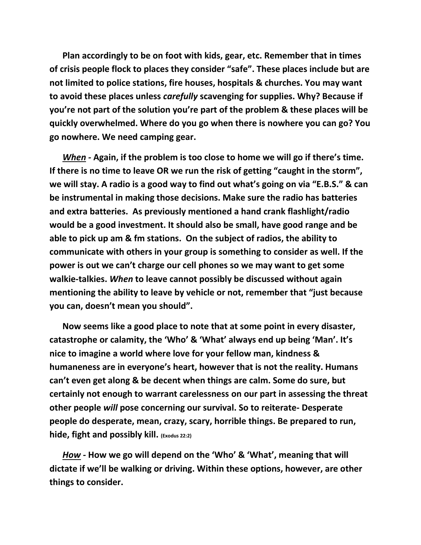**Plan accordingly to be on foot with kids, gear, etc. Remember that in times of crisis people flock to places they consider "safe". These places include but are not limited to police stations, fire houses, hospitals & churches. You may want to avoid these places unless** *carefully* **scavenging for supplies. Why? Because if you're not part of the solution you're part of the problem & these places will be quickly overwhelmed. Where do you go when there is nowhere you can go? You go nowhere. We need camping gear.**

 *When -* **Again, if the problem is too close to home we will go if there's time. If there is no time to leave OR we run the risk of getting "caught in the storm", we will stay. A radio is a good way to find out what's going on via "E.B.S." & can be instrumental in making those decisions. Make sure the radio has batteries and extra batteries. As previously mentioned a hand crank flashlight/radio would be a good investment. It should also be small, have good range and be able to pick up am & fm stations. On the subject of radios, the ability to communicate with others in your group is something to consider as well. If the power is out we can't charge our cell phones so we may want to get some walkie-talkies.** *When* **to leave cannot possibly be discussed without again mentioning the ability to leave by vehicle or not, remember that "just because you can, doesn't mean you should".**

 **Now seems like a good place to note that at some point in every disaster, catastrophe or calamity, the 'Who' & 'What' always end up being 'Man'. It's nice to imagine a world where love for your fellow man, kindness & humaneness are in everyone's heart, however that is not the reality. Humans can't even get along & be decent when things are calm. Some do sure, but certainly not enough to warrant carelessness on our part in assessing the threat other people** *will* **pose concerning our survival. So to reiterate- Desperate people do desperate, mean, crazy, scary, horrible things. Be prepared to run, hide, fight and possibly kill. (Exodus 22:2)**

 *How -* **How we go will depend on the 'Who' & 'What', meaning that will dictate if we'll be walking or driving. Within these options, however, are other things to consider.**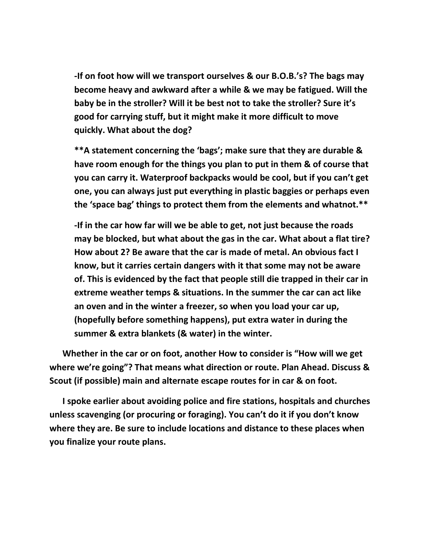**-If on foot how will we transport ourselves & our B.O.B.'s? The bags may become heavy and awkward after a while & we may be fatigued. Will the baby be in the stroller? Will it be best not to take the stroller? Sure it's good for carrying stuff, but it might make it more difficult to move quickly. What about the dog?**

**\*\*A statement concerning the 'bags'; make sure that they are durable & have room enough for the things you plan to put in them & of course that you can carry it. Waterproof backpacks would be cool, but if you can't get one, you can always just put everything in plastic baggies or perhaps even the 'space bag' things to protect them from the elements and whatnot.\*\***

**-If in the car how far will we be able to get, not just because the roads may be blocked, but what about the gas in the car. What about a flat tire? How about 2? Be aware that the car is made of metal. An obvious fact I know, but it carries certain dangers with it that some may not be aware of. This is evidenced by the fact that people still die trapped in their car in extreme weather temps & situations. In the summer the car can act like an oven and in the winter a freezer, so when you load your car up, (hopefully before something happens), put extra water in during the summer & extra blankets (& water) in the winter.**

 **Whether in the car or on foot, another How to consider is "How will we get where we're going"? That means what direction or route. Plan Ahead. Discuss & Scout (if possible) main and alternate escape routes for in car & on foot.** 

 **I spoke earlier about avoiding police and fire stations, hospitals and churches unless scavenging (or procuring or foraging). You can't do it if you don't know where they are. Be sure to include locations and distance to these places when you finalize your route plans.**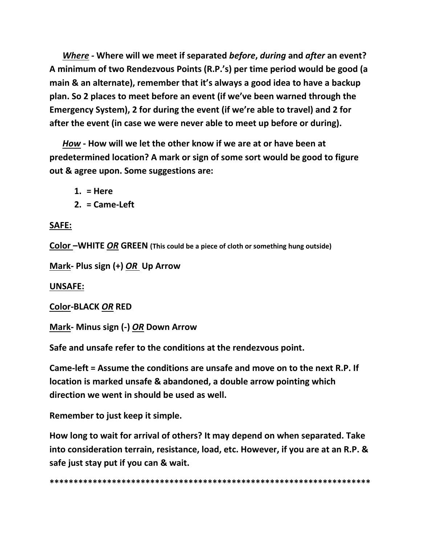*Where -* **Where will we meet if separated** *before***,** *during* **and** *after* **an event? A minimum of two Rendezvous Points (R.P.'s) per time period would be good (a main & an alternate), remember that it's always a good idea to have a backup plan. So 2 places to meet before an event (if we've been warned through the Emergency System), 2 for during the event (if we're able to travel) and 2 for after the event (in case we were never able to meet up before or during).**

 *How* **- How will we let the other know if we are at or have been at predetermined location? A mark or sign of some sort would be good to figure out & agree upon. Some suggestions are:**

**1. = Here**

**2. = Came-Left**

### **SAFE:**

**Color –WHITE** *OR* **GREEN (This could be a piece of cloth or something hung outside)**

**Mark- Plus sign (+)** *OR* **Up Arrow** 

#### **UNSAFE:**

**Color-BLACK** *OR* **RED**

**Mark- Minus sign (-)** *OR* **Down Arrow**

**Safe and unsafe refer to the conditions at the rendezvous point.**

**Came-left = Assume the conditions are unsafe and move on to the next R.P. If location is marked unsafe & abandoned, a double arrow pointing which direction we went in should be used as well.**

**Remember to just keep it simple.**

**How long to wait for arrival of others? It may depend on when separated. Take into consideration terrain, resistance, load, etc. However, if you are at an R.P. & safe just stay put if you can & wait.**

**\*\*\*\*\*\*\*\*\*\*\*\*\*\*\*\*\*\*\*\*\*\*\*\*\*\*\*\*\*\*\*\*\*\*\*\*\*\*\*\*\*\*\*\*\*\*\*\*\*\*\*\*\*\*\*\*\*\*\*\*\*\*\*\*\*\*\***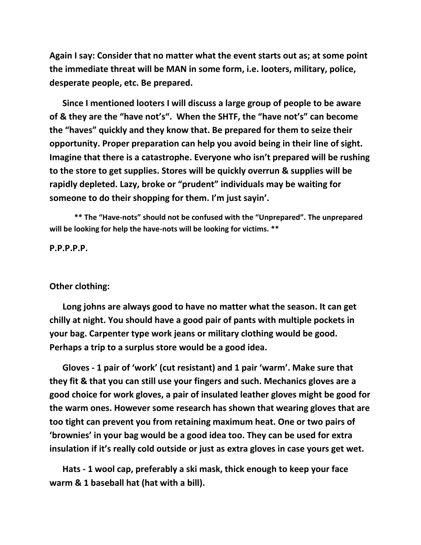**Again I say: Consider that no matter what the event starts out as; at some point the immediate threat will be MAN in some form, i.e. looters, military, police, desperate people, etc. Be prepared.**

 **Since I mentioned looters I will discuss a large group of people to be aware of & they are the "have not's". When the SHTF, the "have not's" can become the "haves" quickly and they know that. Be prepared for them to seize their opportunity. Proper preparation can help you avoid being in their line of sight. Imagine that there is a catastrophe. Everyone who isn't prepared will be rushing to the store to get supplies. Stores will be quickly overrun & supplies will be rapidly depleted. Lazy, broke or "prudent" individuals may be waiting for someone to do their shopping for them. I'm just sayin'.**

**\*\* The "Have-nots" should not be confused with the "Unprepared". The unprepared will be looking for help the have-nots will be looking for victims. \*\***

**P.P.P.P.P.**

#### **Other clothing:**

 **Long johns are always good to have no matter what the season. It can get chilly at night. You should have a good pair of pants with multiple pockets in your bag. Carpenter type work jeans or military clothing would be good. Perhaps a trip to a surplus store would be a good idea.**

 **Gloves - 1 pair of 'work' (cut resistant) and 1 pair 'warm'. Make sure that they fit & that you can still use your fingers and such. Mechanics gloves are a good choice for work gloves, a pair of insulated leather gloves might be good for the warm ones. However some research has shown that wearing gloves that are too tight can prevent you from retaining maximum heat. One or two pairs of 'brownies' in your bag would be a good idea too. They can be used for extra insulation if it's really cold outside or just as extra gloves in case yours get wet.**

 **Hats - 1 wool cap, preferably a ski mask, thick enough to keep your face warm & 1 baseball hat (hat with a bill).**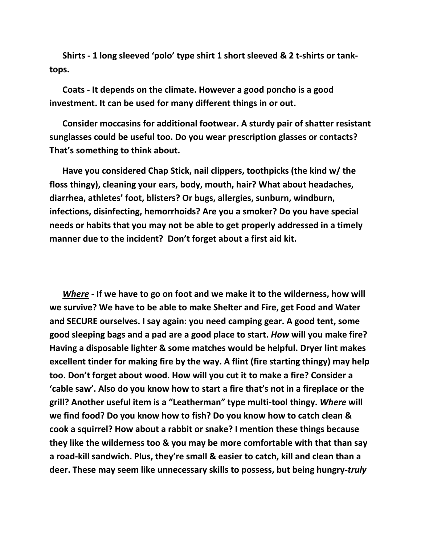**Shirts - 1 long sleeved 'polo' type shirt 1 short sleeved & 2 t-shirts or tanktops.** 

 **Coats - It depends on the climate. However a good poncho is a good investment. It can be used for many different things in or out.**

 **Consider moccasins for additional footwear. A sturdy pair of shatter resistant sunglasses could be useful too. Do you wear prescription glasses or contacts? That's something to think about.**

 **Have you considered Chap Stick, nail clippers, toothpicks (the kind w/ the floss thingy), cleaning your ears, body, mouth, hair? What about headaches, diarrhea, athletes' foot, blisters? Or bugs, allergies, sunburn, windburn, infections, disinfecting, hemorrhoids? Are you a smoker? Do you have special needs or habits that you may not be able to get properly addressed in a timely manner due to the incident? Don't forget about a first aid kit.**

 *Where* **- If we have to go on foot and we make it to the wilderness, how will we survive? We have to be able to make Shelter and Fire, get Food and Water and SECURE ourselves. I say again: you need camping gear. A good tent, some good sleeping bags and a pad are a good place to start.** *How* **will you make fire? Having a disposable lighter & some matches would be helpful. Dryer lint makes excellent tinder for making fire by the way. A flint (fire starting thingy) may help too. Don't forget about wood. How will you cut it to make a fire? Consider a 'cable saw'. Also do you know how to start a fire that's not in a fireplace or the grill? Another useful item is a "Leatherman" type multi-tool thingy.** *Where* **will we find food? Do you know how to fish? Do you know how to catch clean & cook a squirrel? How about a rabbit or snake? I mention these things because they like the wilderness too & you may be more comfortable with that than say a road-kill sandwich. Plus, they're small & easier to catch, kill and clean than a deer. These may seem like unnecessary skills to possess, but being hungry-***truly*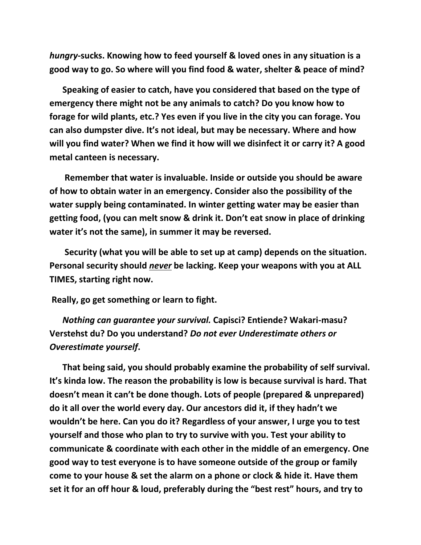*hungry***-sucks. Knowing how to feed yourself & loved ones in any situation is a good way to go. So where will you find food & water, shelter & peace of mind?** 

 **Speaking of easier to catch, have you considered that based on the type of emergency there might not be any animals to catch? Do you know how to forage for wild plants, etc.? Yes even if you live in the city you can forage. You can also dumpster dive. It's not ideal, but may be necessary. Where and how will you find water? When we find it how will we disinfect it or carry it? A good metal canteen is necessary.**

 **Remember that water is invaluable. Inside or outside you should be aware of how to obtain water in an emergency. Consider also the possibility of the water supply being contaminated. In winter getting water may be easier than getting food, (you can melt snow & drink it. Don't eat snow in place of drinking water it's not the same), in summer it may be reversed.** 

 **Security (what you will be able to set up at camp) depends on the situation. Personal security should** *never* **be lacking. Keep your weapons with you at ALL TIMES, starting right now.**

**Really, go get something or learn to fight.**

 *Nothing can guarantee your survival.* **Capisci? Entiende? Wakari-masu? Verstehst du? Do you understand?** *Do not ever Underestimate others or Overestimate yourself***.**

 **That being said, you should probably examine the probability of self survival. It's kinda low. The reason the probability is low is because survival is hard. That doesn't mean it can't be done though. Lots of people (prepared & unprepared) do it all over the world every day. Our ancestors did it, if they hadn't we wouldn't be here. Can you do it? Regardless of your answer, I urge you to test yourself and those who plan to try to survive with you. Test your ability to communicate & coordinate with each other in the middle of an emergency. One good way to test everyone is to have someone outside of the group or family come to your house & set the alarm on a phone or clock & hide it. Have them set it for an off hour & loud, preferably during the "best rest" hours, and try to**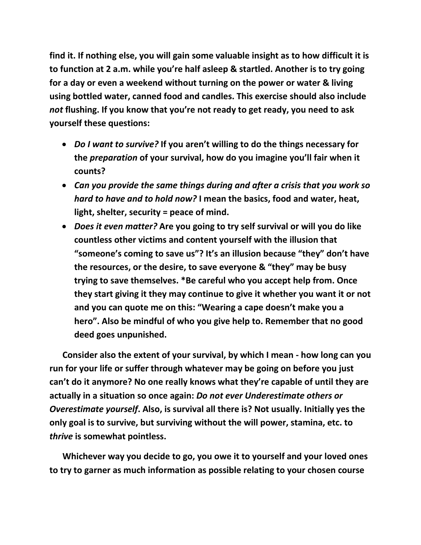**find it. If nothing else, you will gain some valuable insight as to how difficult it is to function at 2 a.m. while you're half asleep & startled. Another is to try going for a day or even a weekend without turning on the power or water & living using bottled water, canned food and candles. This exercise should also include**  *not* **flushing. If you know that you're not ready to get ready, you need to ask yourself these questions:**

- *Do I want to survive?* **If you aren't willing to do the things necessary for the** *preparation* **of your survival, how do you imagine you'll fair when it counts?**
- *Can you provide the same things during and after a crisis that you work so hard to have and to hold now?* **I mean the basics, food and water, heat, light, shelter, security = peace of mind.**
- *Does it even matter?* **Are you going to try self survival or will you do like countless other victims and content yourself with the illusion that "someone's coming to save us"? It's an illusion because "they" don't have the resources, or the desire, to save everyone & "they" may be busy trying to save themselves. \*Be careful who you accept help from. Once they start giving it they may continue to give it whether you want it or not and you can quote me on this: "Wearing a cape doesn't make you a hero". Also be mindful of who you give help to. Remember that no good deed goes unpunished.**

 **Consider also the extent of your survival, by which I mean - how long can you run for your life or suffer through whatever may be going on before you just can't do it anymore? No one really knows what they're capable of until they are actually in a situation so once again:** *Do not ever Underestimate others or Overestimate yourself***. Also, is survival all there is? Not usually. Initially yes the only goal is to survive, but surviving without the will power, stamina, etc. to**  *thrive* **is somewhat pointless.**

 **Whichever way you decide to go, you owe it to yourself and your loved ones to try to garner as much information as possible relating to your chosen course**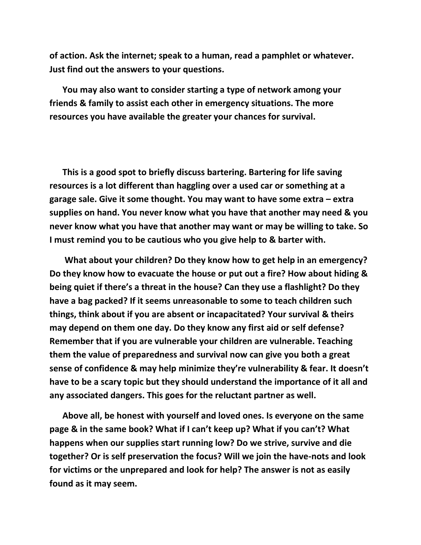**of action. Ask the internet; speak to a human, read a pamphlet or whatever. Just find out the answers to your questions.** 

 **You may also want to consider starting a type of network among your friends & family to assist each other in emergency situations. The more resources you have available the greater your chances for survival.**

 **This is a good spot to briefly discuss bartering. Bartering for life saving resources is a lot different than haggling over a used car or something at a garage sale. Give it some thought. You may want to have some extra – extra supplies on hand. You never know what you have that another may need & you never know what you have that another may want or may be willing to take. So I must remind you to be cautious who you give help to & barter with.** 

 **What about your children? Do they know how to get help in an emergency? Do they know how to evacuate the house or put out a fire? How about hiding & being quiet if there's a threat in the house? Can they use a flashlight? Do they have a bag packed? If it seems unreasonable to some to teach children such things, think about if you are absent or incapacitated? Your survival & theirs may depend on them one day. Do they know any first aid or self defense? Remember that if you are vulnerable your children are vulnerable. Teaching them the value of preparedness and survival now can give you both a great sense of confidence & may help minimize they're vulnerability & fear. It doesn't have to be a scary topic but they should understand the importance of it all and any associated dangers. This goes for the reluctant partner as well.**

 **Above all, be honest with yourself and loved ones. Is everyone on the same page & in the same book? What if I can't keep up? What if you can't? What happens when our supplies start running low? Do we strive, survive and die together? Or is self preservation the focus? Will we join the have-nots and look for victims or the unprepared and look for help? The answer is not as easily found as it may seem.**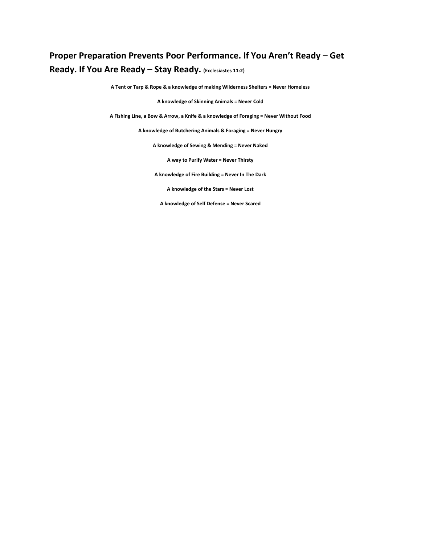### **Proper Preparation Prevents Poor Performance. If You Aren't Ready – Get Ready. If You Are Ready – Stay Ready. (Ecclesiastes 11:2)**

**A Tent or Tarp & Rope & a knowledge of making Wilderness Shelters = Never Homeless**

**A knowledge of Skinning Animals = Never Cold**

**A Fishing Line, a Bow & Arrow, a Knife & a knowledge of Foraging = Never Without Food**

**A knowledge of Butchering Animals & Foraging = Never Hungry**

**A knowledge of Sewing & Mending = Never Naked**

**A way to Purify Water = Never Thirsty**

**A knowledge of Fire Building = Never In The Dark**

**A knowledge of the Stars = Never Lost**

**A knowledge of Self Defense = Never Scared**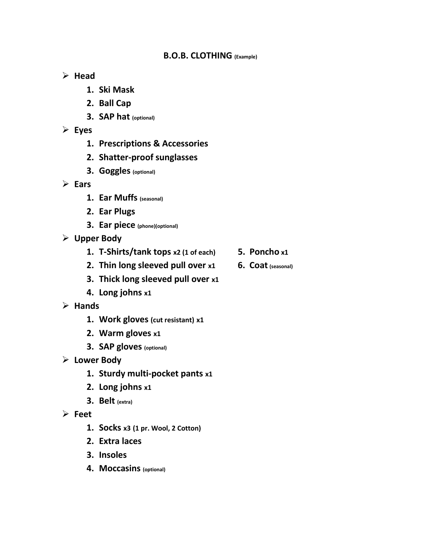#### **B.O.B. CLOTHING (Example)**

#### **Head**

- **1. Ski Mask**
- **2. Ball Cap**
- **3. SAP hat (optional)**
- **Eyes**
	- **1. Prescriptions & Accessories**
	- **2. Shatter-proof sunglasses**
	- **3. Goggles (optional)**
- **Ears**
	- **1. Ear Muffs (seasonal)**
	- **2. Ear Plugs**
	- **3. Ear piece (phone)(optional)**
- **Upper Body**
	- **1. T-Shirts/tank tops x2 (1 of each) 5. Poncho x1**
	- **2. Thin long sleeved pull over x1 6. Coat (seasonal)**
	- **3. Thick long sleeved pull over x1**
	- **4. Long johns x1**
- **Hands**
	- **1. Work gloves (cut resistant) x1**
	- **2. Warm gloves x1**
	- **3. SAP gloves (optional)**
- **Lower Body**
	- **1. Sturdy multi-pocket pants x1**
	- **2. Long johns x1**
	- **3. Belt (extra)**
- **Feet**
	- **1. Socks x3 (1 pr. Wool, 2 Cotton)**
	- **2. Extra laces**
	- **3. Insoles**
	- **4. Moccasins (optional)**
- 
-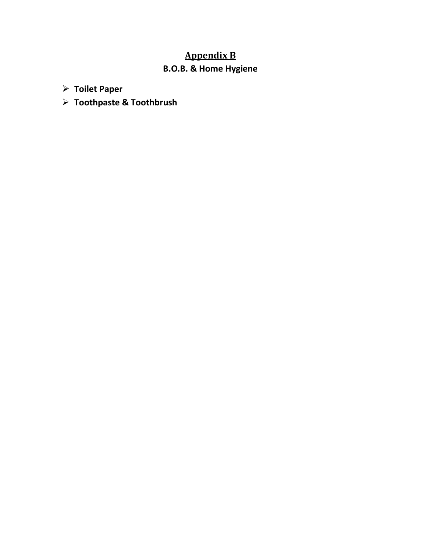# **Appendix B**

### **B.O.B. & Home Hygiene**

- **Toilet Paper**
- **Toothpaste & Toothbrush**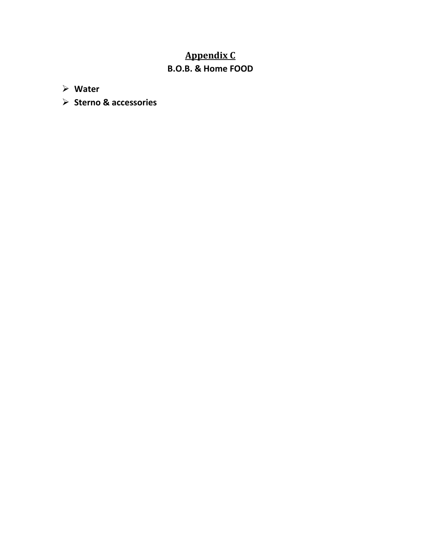# **Appendix C B.O.B. & Home FOOD**

**Water** 

**Sterno & accessories**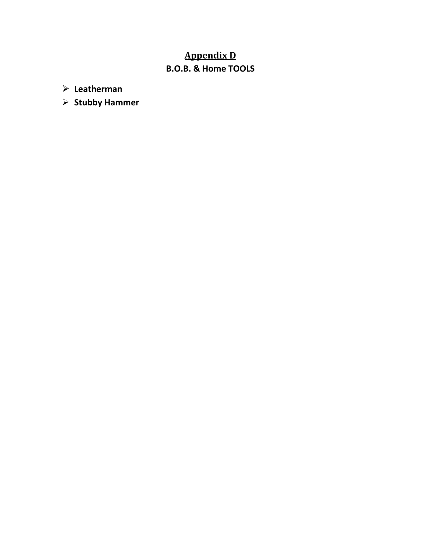# **Appendix D B.O.B. & Home TOOLS**

**Leatherman**

**Stubby Hammer**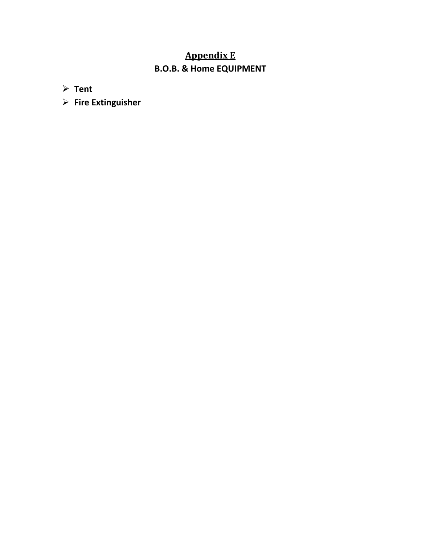# **Appendix E B.O.B. & Home EQUIPMENT**

**Tent**

**Fire Extinguisher**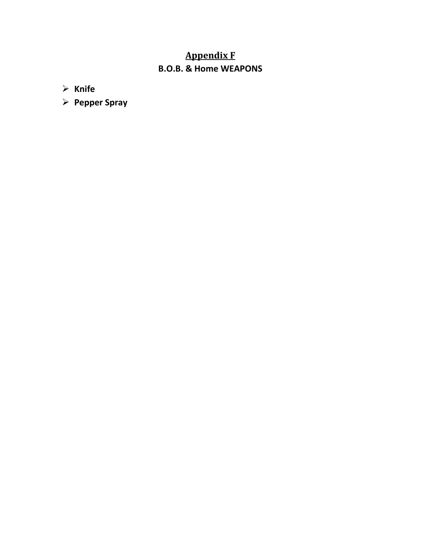# **Appendix F B.O.B. & Home WEAPONS**

**Knife**

**Pepper Spray**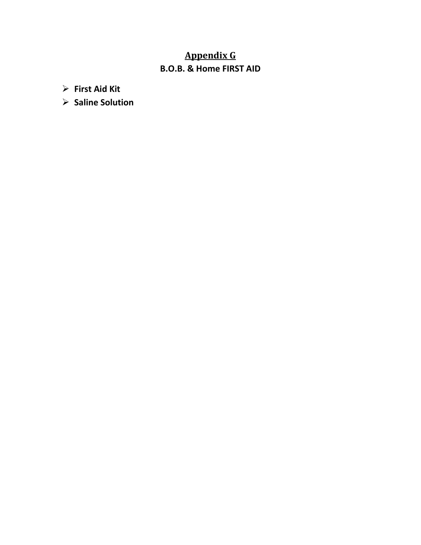# **Appendix G B.O.B. & Home FIRST AID**

**First Aid Kit**

**Saline Solution**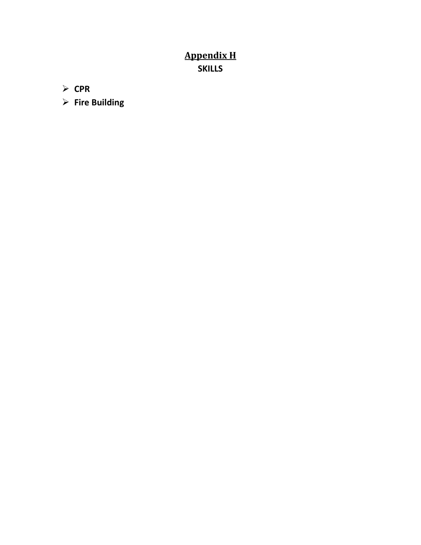# **Appendix H SKILLS**

**CPR**

**Fire Building**